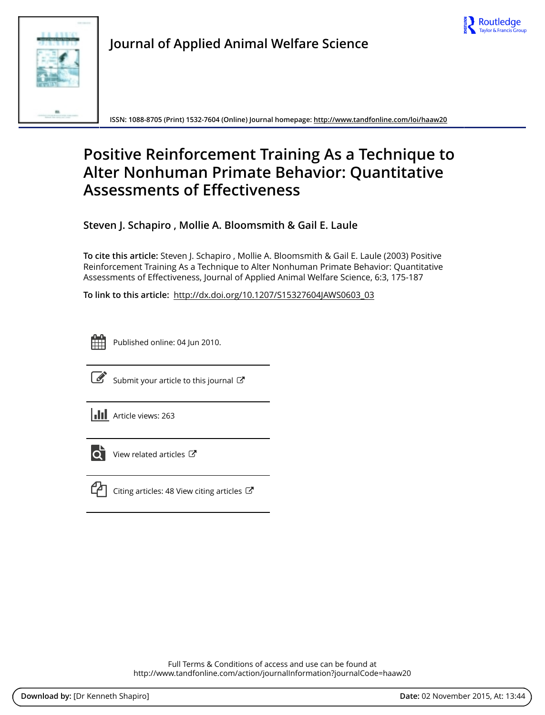



**Journal of Applied Animal Welfare Science**

**ISSN: 1088-8705 (Print) 1532-7604 (Online) Journal homepage:<http://www.tandfonline.com/loi/haaw20>**

# **Positive Reinforcement Training As a Technique to Alter Nonhuman Primate Behavior: Quantitative Assessments of Effectiveness**

**Steven J. Schapiro , Mollie A. Bloomsmith & Gail E. Laule**

**To cite this article:** Steven J. Schapiro , Mollie A. Bloomsmith & Gail E. Laule (2003) Positive Reinforcement Training As a Technique to Alter Nonhuman Primate Behavior: Quantitative Assessments of Effectiveness, Journal of Applied Animal Welfare Science, 6:3, 175-187

**To link to this article:** [http://dx.doi.org/10.1207/S15327604JAWS0603\\_03](http://dx.doi.org/10.1207/S15327604JAWS0603_03)



Published online: 04 Jun 2010.



 $\overline{\mathscr{L}}$  [Submit your article to this journal](http://www.tandfonline.com/action/authorSubmission?journalCode=haaw20&page=instructions)  $\mathbb{F}$ 





 $\overrightarrow{Q}$  [View related articles](http://www.tandfonline.com/doi/mlt/10.1207/S15327604JAWS0603_03)  $\overrightarrow{C}$ 



 $\Box$  [Citing articles: 48 View citing articles](http://www.tandfonline.com/doi/citedby/10.1207/S15327604JAWS0603_03#tabModule)  $\Box$ 

Full Terms & Conditions of access and use can be found at <http://www.tandfonline.com/action/journalInformation?journalCode=haaw20>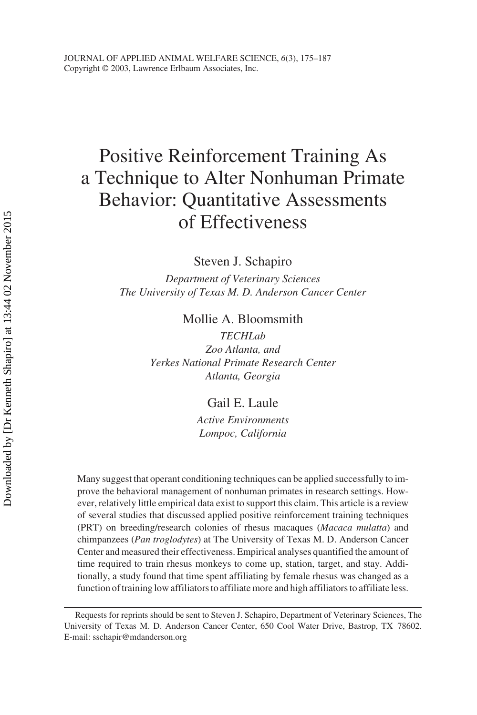## Positive Reinforcement Training As a Technique to Alter Nonhuman Primate Behavior: Quantitative Assessments of Effectiveness

Steven J. Schapiro

*Department of Veterinary Sciences The University of Texas M. D. Anderson Cancer Center*

Mollie A. Bloomsmith

*TECHLab Zoo Atlanta, and Yerkes National Primate Research Center Atlanta, Georgia*

Gail E. Laule

*Active Environments Lompoc, California*

Many suggest that operant conditioning techniques can be applied successfully to improve the behavioral management of nonhuman primates in research settings. However, relatively little empirical data exist to support this claim. This article is a review of several studies that discussed applied positive reinforcement training techniques (PRT) on breeding/research colonies of rhesus macaques (*Macaca mulatta*) and chimpanzees (*Pan troglodytes*) at The University of Texas M. D. Anderson Cancer Center and measured their effectiveness. Empirical analyses quantified the amount of time required to train rhesus monkeys to come up, station, target, and stay. Additionally, a study found that time spent affiliating by female rhesus was changed as a function of training low affiliators to affiliate more and high affiliators to affiliate less.

Requests for reprints should be sent to Steven J. Schapiro, Department of Veterinary Sciences, The University of Texas M. D. Anderson Cancer Center, 650 Cool Water Drive, Bastrop, TX 78602. E-mail: sschapir@mdanderson.org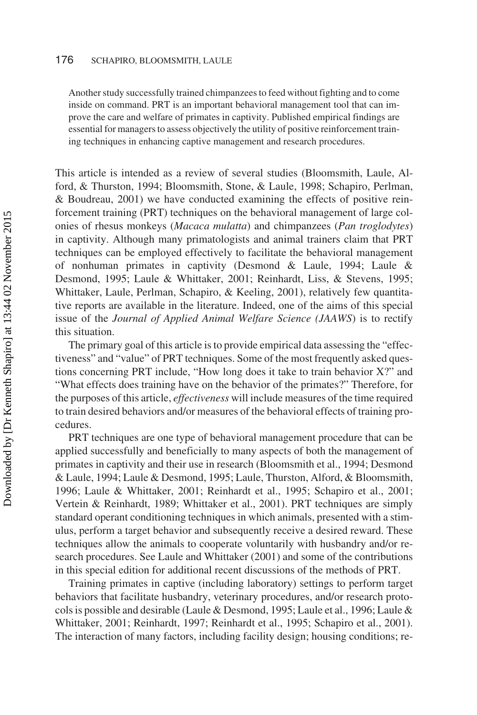#### 176 SCHAPIRO, BLOOMSMITH, LAULE

Another study successfully trained chimpanzees to feed without fighting and to come inside on command. PRT is an important behavioral management tool that can improve the care and welfare of primates in captivity. Published empirical findings are essential for managers to assess objectively the utility of positive reinforcement training techniques in enhancing captive management and research procedures.

This article is intended as a review of several studies (Bloomsmith, Laule, Alford, & Thurston, 1994; Bloomsmith, Stone, & Laule, 1998; Schapiro, Perlman, & Boudreau, 2001) we have conducted examining the effects of positive reinforcement training (PRT) techniques on the behavioral management of large colonies of rhesus monkeys (*Macaca mulatta*) and chimpanzees (*Pan troglodytes*) in captivity. Although many primatologists and animal trainers claim that PRT techniques can be employed effectively to facilitate the behavioral management of nonhuman primates in captivity (Desmond & Laule, 1994; Laule & Desmond, 1995; Laule & Whittaker, 2001; Reinhardt, Liss, & Stevens, 1995; Whittaker, Laule, Perlman, Schapiro, & Keeling, 2001), relatively few quantitative reports are available in the literature. Indeed, one of the aims of this special issue of the *Journal of Applied Animal Welfare Science (JAAWS*) is to rectify this situation.

The primary goal of this article is to provide empirical data assessing the "effectiveness" and "value" of PRT techniques. Some of the most frequently asked questions concerning PRT include, "How long does it take to train behavior X?" and "What effects does training have on the behavior of the primates?" Therefore, for the purposes of this article, *effectiveness* will include measures of the time required to train desired behaviors and/or measures of the behavioral effects of training procedures.

PRT techniques are one type of behavioral management procedure that can be applied successfully and beneficially to many aspects of both the management of primates in captivity and their use in research (Bloomsmith et al., 1994; Desmond & Laule, 1994; Laule & Desmond, 1995; Laule, Thurston, Alford, & Bloomsmith, 1996; Laule & Whittaker, 2001; Reinhardt et al., 1995; Schapiro et al., 2001; Vertein & Reinhardt, 1989; Whittaker et al., 2001). PRT techniques are simply standard operant conditioning techniques in which animals, presented with a stimulus, perform a target behavior and subsequently receive a desired reward. These techniques allow the animals to cooperate voluntarily with husbandry and/or research procedures. See Laule and Whittaker (2001) and some of the contributions in this special edition for additional recent discussions of the methods of PRT.

Training primates in captive (including laboratory) settings to perform target behaviors that facilitate husbandry, veterinary procedures, and/or research protocols is possible and desirable (Laule & Desmond, 1995; Laule et al., 1996; Laule & Whittaker, 2001; Reinhardt, 1997; Reinhardt et al., 1995; Schapiro et al., 2001). The interaction of many factors, including facility design; housing conditions; re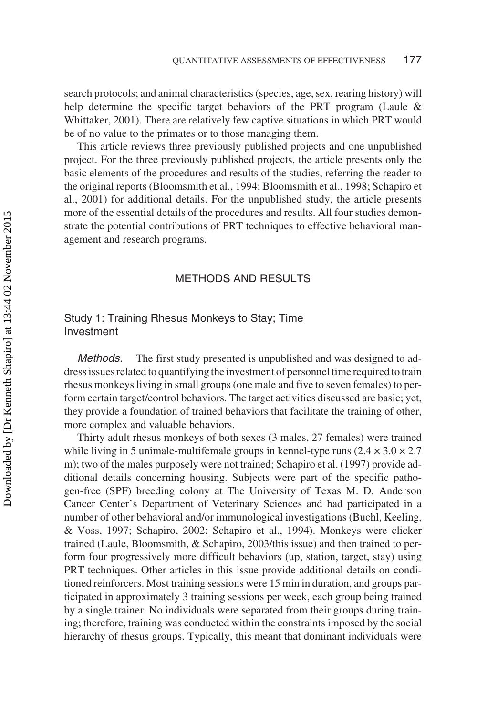search protocols; and animal characteristics (species, age, sex, rearing history) will help determine the specific target behaviors of the PRT program (Laule & Whittaker, 2001). There are relatively few captive situations in which PRT would be of no value to the primates or to those managing them.

This article reviews three previously published projects and one unpublished project. For the three previously published projects, the article presents only the basic elements of the procedures and results of the studies, referring the reader to the original reports (Bloomsmith et al., 1994; Bloomsmith et al., 1998; Schapiro et al., 2001) for additional details. For the unpublished study, the article presents more of the essential details of the procedures and results. All four studies demonstrate the potential contributions of PRT techniques to effective behavioral management and research programs.

## METHODS AND RESULTS

## Study 1: Training Rhesus Monkeys to Stay; Time Investment

Methods. The first study presented is unpublished and was designed to address issues related to quantifying the investment of personnel time required to train rhesus monkeys living in small groups (one male and five to seven females) to perform certain target/control behaviors. The target activities discussed are basic; yet, they provide a foundation of trained behaviors that facilitate the training of other, more complex and valuable behaviors.

Thirty adult rhesus monkeys of both sexes (3 males, 27 females) were trained while living in 5 unimale-multifemale groups in kennel-type runs  $(2.4 \times 3.0 \times 2.7$ m); two of the males purposely were not trained; Schapiro et al. (1997) provide additional details concerning housing. Subjects were part of the specific pathogen-free (SPF) breeding colony at The University of Texas M. D. Anderson Cancer Center's Department of Veterinary Sciences and had participated in a number of other behavioral and/or immunological investigations (Buchl, Keeling, & Voss, 1997; Schapiro, 2002; Schapiro et al., 1994). Monkeys were clicker trained (Laule, Bloomsmith, & Schapiro, 2003/this issue) and then trained to perform four progressively more difficult behaviors (up, station, target, stay) using PRT techniques. Other articles in this issue provide additional details on conditioned reinforcers. Most training sessions were 15 min in duration, and groups participated in approximately 3 training sessions per week, each group being trained by a single trainer. No individuals were separated from their groups during training; therefore, training was conducted within the constraints imposed by the social hierarchy of rhesus groups. Typically, this meant that dominant individuals were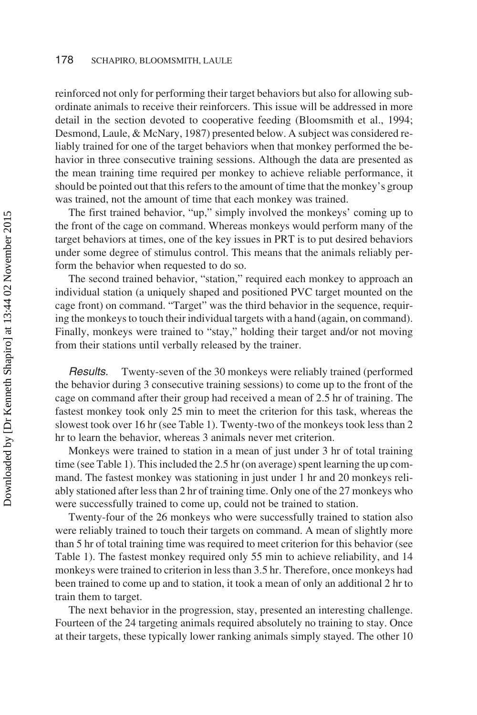reinforced not only for performing their target behaviors but also for allowing subordinate animals to receive their reinforcers. This issue will be addressed in more detail in the section devoted to cooperative feeding (Bloomsmith et al., 1994; Desmond, Laule, & McNary, 1987) presented below. A subject was considered reliably trained for one of the target behaviors when that monkey performed the behavior in three consecutive training sessions. Although the data are presented as the mean training time required per monkey to achieve reliable performance, it should be pointed out that this refers to the amount of time that the monkey's group was trained, not the amount of time that each monkey was trained.

The first trained behavior, "up," simply involved the monkeys' coming up to the front of the cage on command. Whereas monkeys would perform many of the target behaviors at times, one of the key issues in PRT is to put desired behaviors under some degree of stimulus control. This means that the animals reliably perform the behavior when requested to do so.

The second trained behavior, "station," required each monkey to approach an individual station (a uniquely shaped and positioned PVC target mounted on the cage front) on command. "Target" was the third behavior in the sequence, requiring the monkeys to touch their individual targets with a hand (again, on command). Finally, monkeys were trained to "stay," holding their target and/or not moving from their stations until verbally released by the trainer.

Results. Twenty-seven of the 30 monkeys were reliably trained (performed the behavior during 3 consecutive training sessions) to come up to the front of the cage on command after their group had received a mean of 2.5 hr of training. The fastest monkey took only 25 min to meet the criterion for this task, whereas the slowest took over 16 hr (see Table 1). Twenty-two of the monkeys took less than 2 hr to learn the behavior, whereas 3 animals never met criterion.

Monkeys were trained to station in a mean of just under 3 hr of total training time (see Table 1). This included the 2.5 hr (on average) spent learning the up command. The fastest monkey was stationing in just under 1 hr and 20 monkeys reliably stationed after less than 2 hr of training time. Only one of the 27 monkeys who were successfully trained to come up, could not be trained to station.

Twenty-four of the 26 monkeys who were successfully trained to station also were reliably trained to touch their targets on command. A mean of slightly more than 5 hr of total training time was required to meet criterion for this behavior (see Table 1). The fastest monkey required only 55 min to achieve reliability, and 14 monkeys were trained to criterion in less than 3.5 hr. Therefore, once monkeys had been trained to come up and to station, it took a mean of only an additional 2 hr to train them to target.

The next behavior in the progression, stay, presented an interesting challenge. Fourteen of the 24 targeting animals required absolutely no training to stay. Once at their targets, these typically lower ranking animals simply stayed. The other 10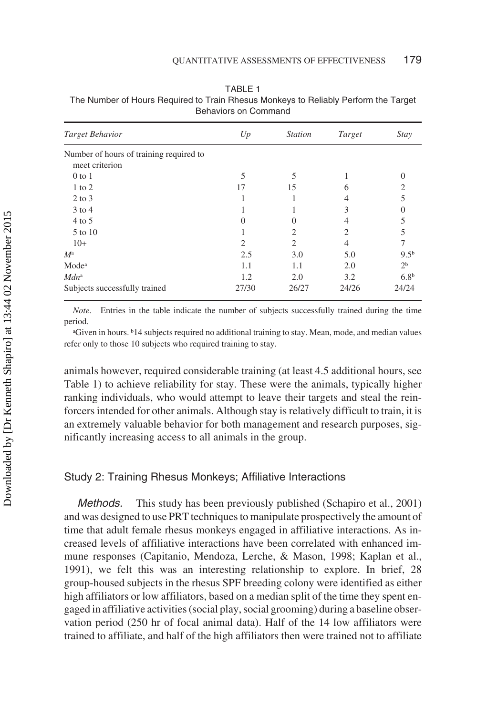| <b>Target Behavior</b>                                    | $U_p$ | <b>Station</b> | Target                      | Stay             |
|-----------------------------------------------------------|-------|----------------|-----------------------------|------------------|
| Number of hours of training required to<br>meet criterion |       |                |                             |                  |
| $0$ to $1$                                                |       |                |                             |                  |
| $1$ to $2$                                                | 17    | 15             | 6                           | $\overline{c}$   |
| $2$ to $3$                                                |       |                |                             |                  |
| $3$ to 4                                                  |       |                | 3                           |                  |
| $4$ to 5                                                  |       | $_{0}$         | 4                           |                  |
| 5 to 10                                                   |       | 2              | $\mathcal{D}_{\mathcal{L}}$ |                  |
| $10+$                                                     | 2     | $\overline{c}$ | 4                           |                  |
| $M^{\rm a}$                                               | 2.5   | 3.0            | 5.0                         | $9.5^{b}$        |
| Mode <sup>a</sup>                                         | 1.1   | 1.1            | 2.0                         | 2 <sup>b</sup>   |
| $Mdn^a$                                                   | 1.2   | 2.0            | 3.2                         | 6.8 <sup>b</sup> |
| Subjects successfully trained                             | 27/30 | 26/27          | 24/26                       | 24/24            |

TABLE 1 The Number of Hours Required to Train Rhesus Monkeys to Reliably Perform the Target Behaviors on Command

*Note.* Entries in the table indicate the number of subjects successfully trained during the time period.

<sup>a</sup>Given in hours. <sup>b</sup>14 subjects required no additional training to stay. Mean, mode, and median values refer only to those 10 subjects who required training to stay.

animals however, required considerable training (at least 4.5 additional hours, see Table 1) to achieve reliability for stay. These were the animals, typically higher ranking individuals, who would attempt to leave their targets and steal the reinforcers intended for other animals. Although stay is relatively difficult to train, it is an extremely valuable behavior for both management and research purposes, significantly increasing access to all animals in the group.

### Study 2: Training Rhesus Monkeys; Affiliative Interactions

Methods. This study has been previously published (Schapiro et al., 2001) and was designed to use PRT techniques to manipulate prospectively the amount of time that adult female rhesus monkeys engaged in affiliative interactions. As increased levels of affiliative interactions have been correlated with enhanced immune responses (Capitanio, Mendoza, Lerche, & Mason, 1998; Kaplan et al., 1991), we felt this was an interesting relationship to explore. In brief, 28 group-housed subjects in the rhesus SPF breeding colony were identified as either high affiliators or low affiliators, based on a median split of the time they spent engaged in affiliative activities (social play, social grooming) during a baseline observation period (250 hr of focal animal data). Half of the 14 low affiliators were trained to affiliate, and half of the high affiliators then were trained not to affiliate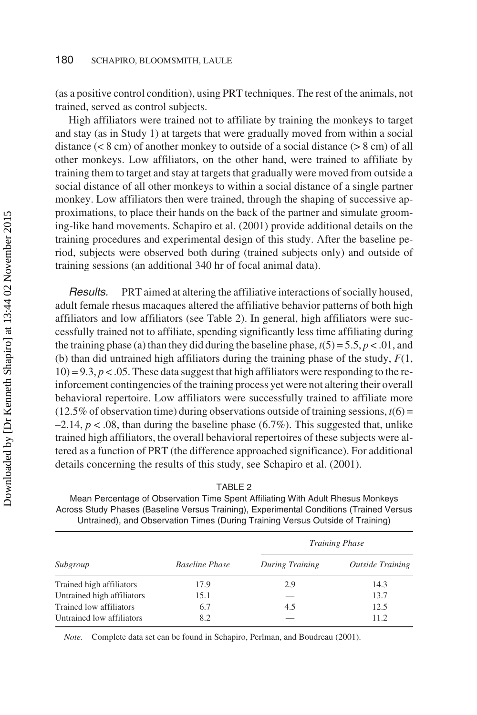(as a positive control condition), using PRT techniques. The rest of the animals, not trained, served as control subjects.

High affiliators were trained not to affiliate by training the monkeys to target and stay (as in Study 1) at targets that were gradually moved from within a social distance  $(< 8 \text{ cm})$  of another monkey to outside of a social distance  $(> 8 \text{ cm})$  of all other monkeys. Low affiliators, on the other hand, were trained to affiliate by training them to target and stay at targets that gradually were moved from outside a social distance of all other monkeys to within a social distance of a single partner monkey. Low affiliators then were trained, through the shaping of successive approximations, to place their hands on the back of the partner and simulate grooming-like hand movements. Schapiro et al. (2001) provide additional details on the training procedures and experimental design of this study. After the baseline period, subjects were observed both during (trained subjects only) and outside of training sessions (an additional 340 hr of focal animal data).

Results. PRT aimed at altering the affiliative interactions of socially housed, adult female rhesus macaques altered the affiliative behavior patterns of both high affiliators and low affiliators (see Table 2). In general, high affiliators were successfully trained not to affiliate, spending significantly less time affiliating during the training phase (a) than they did during the baseline phase,  $t(5) = 5.5$ ,  $p < .01$ , and (b) than did untrained high affiliators during the training phase of the study, *F*(1,  $10$ ) = 9.3,  $p < 0.05$ . These data suggest that high affiliators were responding to the reinforcement contingencies of the training process yet were not altering their overall behavioral repertoire. Low affiliators were successfully trained to affiliate more  $(12.5\%$  of observation time) during observations outside of training sessions,  $t(6)$  =  $-2.14$ ,  $p < .08$ , than during the baseline phase (6.7%). This suggested that, unlike trained high affiliators, the overall behavioral repertoires of these subjects were altered as a function of PRT (the difference approached significance). For additional details concerning the results of this study, see Schapiro et al. (2001).

|  | பட |  |  |
|--|----|--|--|
|  |    |  |  |

Mean Percentage of Observation Time Spent Affiliating With Adult Rhesus Monkeys Across Study Phases (Baseline Versus Training), Experimental Conditions (Trained Versus Untrained), and Observation Times (During Training Versus Outside of Training)

| Subgroup                   |                       | <b>Training Phase</b> |                         |  |
|----------------------------|-----------------------|-----------------------|-------------------------|--|
|                            | <b>Baseline Phase</b> | During Training       | <b>Outside Training</b> |  |
| Trained high affiliators   | 17.9                  | 2.9                   | 14.3                    |  |
| Untrained high affiliators | 15.1                  |                       | 13.7                    |  |
| Trained low affiliators    | 6.7                   | 4.5                   | 12.5                    |  |
| Untrained low affiliators  | 8.2                   |                       | 11.2                    |  |

*Note.* Complete data set can be found in Schapiro, Perlman, and Boudreau (2001).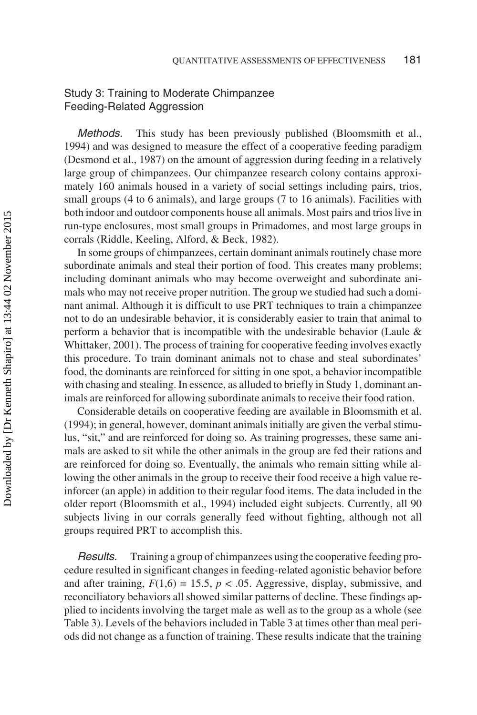## Study 3: Training to Moderate Chimpanzee Feeding-Related Aggression

Methods. This study has been previously published (Bloomsmith et al., 1994) and was designed to measure the effect of a cooperative feeding paradigm (Desmond et al., 1987) on the amount of aggression during feeding in a relatively large group of chimpanzees. Our chimpanzee research colony contains approximately 160 animals housed in a variety of social settings including pairs, trios, small groups (4 to 6 animals), and large groups (7 to 16 animals). Facilities with both indoor and outdoor components house all animals. Most pairs and trios live in run-type enclosures, most small groups in Primadomes, and most large groups in corrals (Riddle, Keeling, Alford, & Beck, 1982).

In some groups of chimpanzees, certain dominant animals routinely chase more subordinate animals and steal their portion of food. This creates many problems; including dominant animals who may become overweight and subordinate animals who may not receive proper nutrition. The group we studied had such a dominant animal. Although it is difficult to use PRT techniques to train a chimpanzee not to do an undesirable behavior, it is considerably easier to train that animal to perform a behavior that is incompatible with the undesirable behavior (Laule & Whittaker, 2001). The process of training for cooperative feeding involves exactly this procedure. To train dominant animals not to chase and steal subordinates' food, the dominants are reinforced for sitting in one spot, a behavior incompatible with chasing and stealing. In essence, as alluded to briefly in Study 1, dominant animals are reinforced for allowing subordinate animals to receive their food ration.

Considerable details on cooperative feeding are available in Bloomsmith et al. (1994); in general, however, dominant animals initially are given the verbal stimulus, "sit," and are reinforced for doing so. As training progresses, these same animals are asked to sit while the other animals in the group are fed their rations and are reinforced for doing so. Eventually, the animals who remain sitting while allowing the other animals in the group to receive their food receive a high value reinforcer (an apple) in addition to their regular food items. The data included in the older report (Bloomsmith et al., 1994) included eight subjects. Currently, all 90 subjects living in our corrals generally feed without fighting, although not all groups required PRT to accomplish this.

Results. Training a group of chimpanzees using the cooperative feeding procedure resulted in significant changes in feeding-related agonistic behavior before and after training,  $F(1,6) = 15.5$ ,  $p < .05$ . Aggressive, display, submissive, and reconciliatory behaviors all showed similar patterns of decline. These findings applied to incidents involving the target male as well as to the group as a whole (see Table 3). Levels of the behaviors included in Table 3 at times other than meal periods did not change as a function of training. These results indicate that the training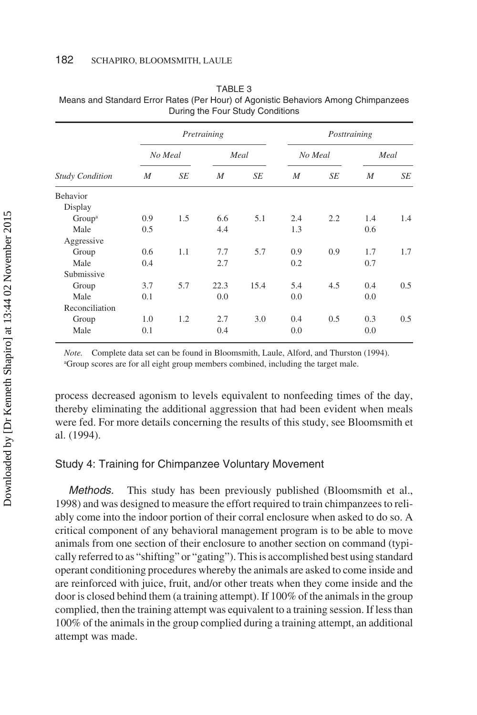|                        |                  | Pretraining |                  |      |     | Posttraining |                  |      |  |
|------------------------|------------------|-------------|------------------|------|-----|--------------|------------------|------|--|
|                        |                  | No Meal     |                  | Meal |     | No Meal      |                  | Meal |  |
| <b>Study Condition</b> | $\boldsymbol{M}$ | SE          | $\boldsymbol{M}$ | SE   | M   | SE           | $\boldsymbol{M}$ | SE   |  |
| Behavior               |                  |             |                  |      |     |              |                  |      |  |
| Display                |                  |             |                  |      |     |              |                  |      |  |
| Group <sup>a</sup>     | 0.9              | 1.5         | 6.6              | 5.1  | 2.4 | 2.2          | 1.4              | 1.4  |  |
| Male                   | 0.5              |             | 4.4              |      | 1.3 |              | 0.6              |      |  |
| Aggressive             |                  |             |                  |      |     |              |                  |      |  |
| Group                  | 0.6              | 1.1         | 7.7              | 5.7  | 0.9 | 0.9          | 1.7              | 1.7  |  |
| Male                   | 0.4              |             | 2.7              |      | 0.2 |              | 0.7              |      |  |
| Submissive             |                  |             |                  |      |     |              |                  |      |  |
| Group                  | 3.7              | 5.7         | 22.3             | 15.4 | 5.4 | 4.5          | 0.4              | 0.5  |  |
| Male                   | 0.1              |             | 0.0              |      | 0.0 |              | 0.0              |      |  |
| Reconciliation         |                  |             |                  |      |     |              |                  |      |  |
| Group                  | 1.0              | 1.2         | 2.7              | 3.0  | 0.4 | 0.5          | 0.3              | 0.5  |  |
| Male                   | 0.1              |             | 0.4              |      | 0.0 |              | 0.0              |      |  |
|                        |                  |             |                  |      |     |              |                  |      |  |

TABLE 3 Means and Standard Error Rates (Per Hour) of Agonistic Behaviors Among Chimpanzees During the Four Study Conditions

*Note.* Complete data set can be found in Bloomsmith, Laule, Alford, and Thurston (1994). a Group scores are for all eight group members combined, including the target male.

process decreased agonism to levels equivalent to nonfeeding times of the day, thereby eliminating the additional aggression that had been evident when meals were fed. For more details concerning the results of this study, see Bloomsmith et al. (1994).

### Study 4: Training for Chimpanzee Voluntary Movement

Methods. This study has been previously published (Bloomsmith et al., 1998) and was designed to measure the effort required to train chimpanzees to reliably come into the indoor portion of their corral enclosure when asked to do so. A critical component of any behavioral management program is to be able to move animals from one section of their enclosure to another section on command (typically referred to as "shifting" or "gating"). This is accomplished best using standard operant conditioning procedures whereby the animals are asked to come inside and are reinforced with juice, fruit, and/or other treats when they come inside and the door is closed behind them (a training attempt). If 100% of the animals in the group complied, then the training attempt was equivalent to a training session. If less than 100% of the animals in the group complied during a training attempt, an additional attempt was made.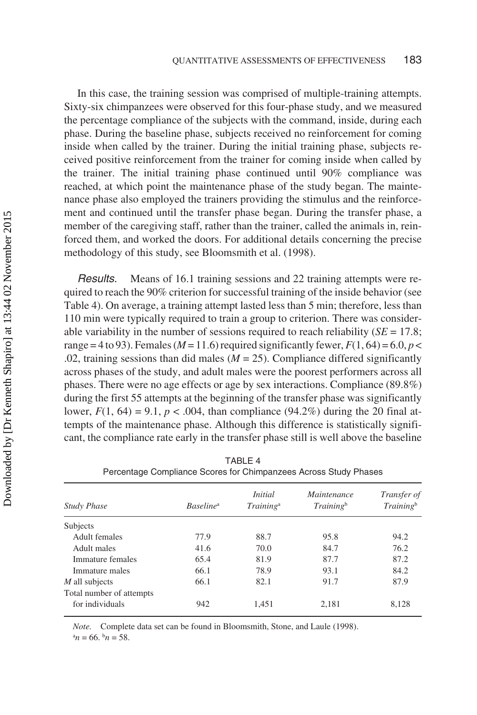In this case, the training session was comprised of multiple-training attempts. Sixty-six chimpanzees were observed for this four-phase study, and we measured the percentage compliance of the subjects with the command, inside, during each phase. During the baseline phase, subjects received no reinforcement for coming inside when called by the trainer. During the initial training phase, subjects received positive reinforcement from the trainer for coming inside when called by the trainer. The initial training phase continued until 90% compliance was reached, at which point the maintenance phase of the study began. The maintenance phase also employed the trainers providing the stimulus and the reinforcement and continued until the transfer phase began. During the transfer phase, a member of the caregiving staff, rather than the trainer, called the animals in, reinforced them, and worked the doors. For additional details concerning the precise methodology of this study, see Bloomsmith et al. (1998).

Results. Means of 16.1 training sessions and 22 training attempts were required to reach the 90% criterion for successful training of the inside behavior (see Table 4). On average, a training attempt lasted less than 5 min; therefore, less than 110 min were typically required to train a group to criterion. There was considerable variability in the number of sessions required to reach reliability  $(SE = 17.8$ ; range = 4 to 93). Females ( $M = 11.6$ ) required significantly fewer,  $F(1, 64) = 6.0$ ,  $p <$ .02, training sessions than did males  $(M = 25)$ . Compliance differed significantly across phases of the study, and adult males were the poorest performers across all phases. There were no age effects or age by sex interactions. Compliance (89.8%) during the first 55 attempts at the beginning of the transfer phase was significantly lower,  $F(1, 64) = 9.1$ ,  $p < .004$ , than compliance (94.2%) during the 20 final attempts of the maintenance phase. Although this difference is statistically significant, the compliance rate early in the transfer phase still is well above the baseline

| Study Phase              | <b>Baseline</b> <sup>a</sup> | <i>Initial</i><br><i>Training<sup>a</sup></i> | Maintenance<br>Trainingb | Transfer of<br>Trainingb |
|--------------------------|------------------------------|-----------------------------------------------|--------------------------|--------------------------|
|                          |                              |                                               |                          |                          |
| Subjects                 |                              |                                               |                          |                          |
| Adult females            | 77.9                         | 88.7                                          | 95.8                     | 94.2                     |
| Adult males              | 41.6                         | 70.0                                          | 84.7                     | 76.2                     |
| Immature females         | 65.4                         | 81.9                                          | 87.7                     | 87.2                     |
| Immature males           | 66.1                         | 78.9                                          | 93.1                     | 84.2                     |
| M all subjects           | 66.1                         | 82.1                                          | 91.7                     | 87.9                     |
| Total number of attempts |                              |                                               |                          |                          |
| for individuals          | 942                          | 1,451                                         | 2,181                    | 8,128                    |
|                          |                              |                                               |                          |                          |

TABLE 4 Percentage Compliance Scores for Chimpanzees Across Study Phases

*Note.* Complete data set can be found in Bloomsmith, Stone, and Laule (1998).  $a_n = 66$ .  $b_n = 58$ .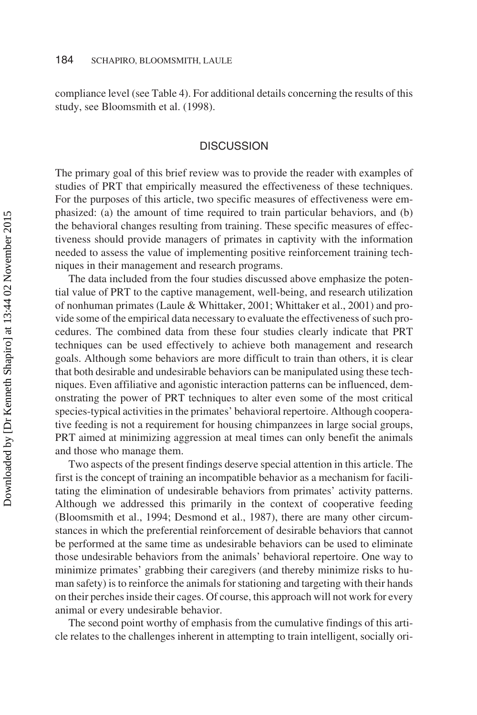compliance level (see Table 4). For additional details concerning the results of this study, see Bloomsmith et al. (1998).

## **DISCUSSION**

The primary goal of this brief review was to provide the reader with examples of studies of PRT that empirically measured the effectiveness of these techniques. For the purposes of this article, two specific measures of effectiveness were emphasized: (a) the amount of time required to train particular behaviors, and (b) the behavioral changes resulting from training. These specific measures of effectiveness should provide managers of primates in captivity with the information needed to assess the value of implementing positive reinforcement training techniques in their management and research programs.

The data included from the four studies discussed above emphasize the potential value of PRT to the captive management, well-being, and research utilization of nonhuman primates (Laule & Whittaker, 2001; Whittaker et al., 2001) and provide some of the empirical data necessary to evaluate the effectiveness of such procedures. The combined data from these four studies clearly indicate that PRT techniques can be used effectively to achieve both management and research goals. Although some behaviors are more difficult to train than others, it is clear that both desirable and undesirable behaviors can be manipulated using these techniques. Even affiliative and agonistic interaction patterns can be influenced, demonstrating the power of PRT techniques to alter even some of the most critical species-typical activities in the primates' behavioral repertoire. Although cooperative feeding is not a requirement for housing chimpanzees in large social groups, PRT aimed at minimizing aggression at meal times can only benefit the animals and those who manage them.

Two aspects of the present findings deserve special attention in this article. The first is the concept of training an incompatible behavior as a mechanism for facilitating the elimination of undesirable behaviors from primates' activity patterns. Although we addressed this primarily in the context of cooperative feeding (Bloomsmith et al., 1994; Desmond et al., 1987), there are many other circumstances in which the preferential reinforcement of desirable behaviors that cannot be performed at the same time as undesirable behaviors can be used to eliminate those undesirable behaviors from the animals' behavioral repertoire. One way to minimize primates' grabbing their caregivers (and thereby minimize risks to human safety) is to reinforce the animals for stationing and targeting with their hands on their perches inside their cages. Of course, this approach will not work for every animal or every undesirable behavior.

The second point worthy of emphasis from the cumulative findings of this article relates to the challenges inherent in attempting to train intelligent, socially ori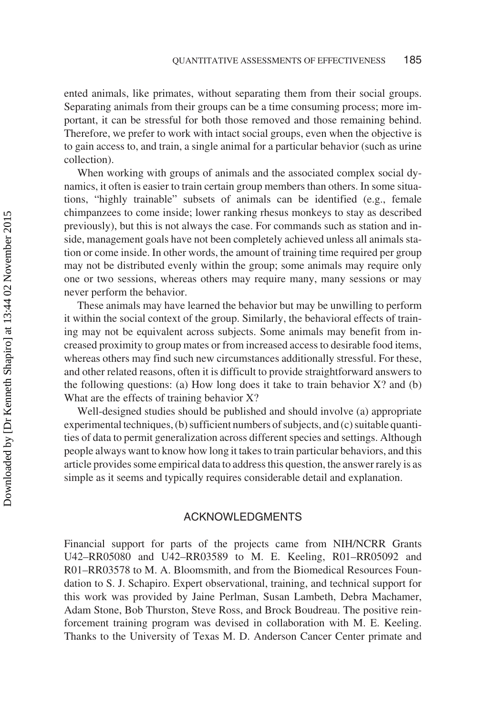ented animals, like primates, without separating them from their social groups. Separating animals from their groups can be a time consuming process; more important, it can be stressful for both those removed and those remaining behind. Therefore, we prefer to work with intact social groups, even when the objective is to gain access to, and train, a single animal for a particular behavior (such as urine collection).

When working with groups of animals and the associated complex social dynamics, it often is easier to train certain group members than others. In some situations, "highly trainable" subsets of animals can be identified (e.g., female chimpanzees to come inside; lower ranking rhesus monkeys to stay as described previously), but this is not always the case. For commands such as station and inside, management goals have not been completely achieved unless all animals station or come inside. In other words, the amount of training time required per group may not be distributed evenly within the group; some animals may require only one or two sessions, whereas others may require many, many sessions or may never perform the behavior.

These animals may have learned the behavior but may be unwilling to perform it within the social context of the group. Similarly, the behavioral effects of training may not be equivalent across subjects. Some animals may benefit from increased proximity to group mates or from increased access to desirable food items, whereas others may find such new circumstances additionally stressful. For these, and other related reasons, often it is difficult to provide straightforward answers to the following questions: (a) How long does it take to train behavior  $X$ ? and (b) What are the effects of training behavior X?

Well-designed studies should be published and should involve (a) appropriate experimental techniques, (b) sufficient numbers of subjects, and (c) suitable quantities of data to permit generalization across different species and settings. Although people always want to know how long it takes to train particular behaviors, and this article provides some empirical data to address this question, the answer rarely is as simple as it seems and typically requires considerable detail and explanation.

#### ACKNOWLEDGMENTS

Financial support for parts of the projects came from NIH/NCRR Grants U42–RR05080 and U42–RR03589 to M. E. Keeling, R01–RR05092 and R01–RR03578 to M. A. Bloomsmith, and from the Biomedical Resources Foundation to S. J. Schapiro. Expert observational, training, and technical support for this work was provided by Jaine Perlman, Susan Lambeth, Debra Machamer, Adam Stone, Bob Thurston, Steve Ross, and Brock Boudreau. The positive reinforcement training program was devised in collaboration with M. E. Keeling. Thanks to the University of Texas M. D. Anderson Cancer Center primate and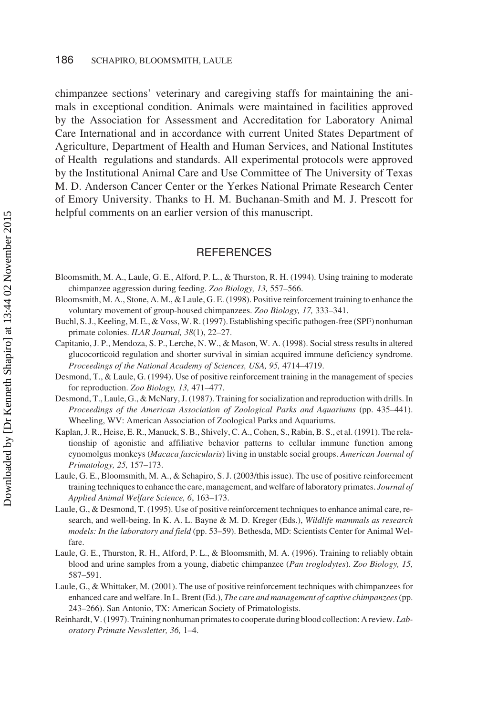chimpanzee sections' veterinary and caregiving staffs for maintaining the animals in exceptional condition. Animals were maintained in facilities approved by the Association for Assessment and Accreditation for Laboratory Animal Care International and in accordance with current United States Department of Agriculture, Department of Health and Human Services, and National Institutes of Health regulations and standards. All experimental protocols were approved by the Institutional Animal Care and Use Committee of The University of Texas M. D. Anderson Cancer Center or the Yerkes National Primate Research Center of Emory University. Thanks to H. M. Buchanan-Smith and M. J. Prescott for helpful comments on an earlier version of this manuscript.

## **REFERENCES**

- Bloomsmith, M. A., Laule, G. E., Alford, P. L., & Thurston, R. H. (1994). Using training to moderate chimpanzee aggression during feeding. *Zoo Biology, 13,* 557–566.
- Bloomsmith, M. A., Stone, A. M., & Laule, G. E. (1998). Positive reinforcement training to enhance the voluntary movement of group-housed chimpanzees. *Zoo Biology, 17,* 333–341.
- Buchl, S. J., Keeling, M. E., & Voss, W. R. (1997). Establishing specific pathogen-free (SPF) nonhuman primate colonies. *ILAR Journal, 38*(1), 22–27.
- Capitanio, J. P., Mendoza, S. P., Lerche, N. W., & Mason, W. A. (1998). Social stress results in altered glucocorticoid regulation and shorter survival in simian acquired immune deficiency syndrome. *Proceedings of the National Academy of Sciences, USA, 95,* 4714–4719.
- Desmond, T., & Laule, G. (1994). Use of positive reinforcement training in the management of species for reproduction. *Zoo Biology, 13,* 471–477.
- Desmond, T., Laule, G., & McNary, J. (1987). Training for socialization and reproduction with drills. In *Proceedings of the American Association of Zoological Parks and Aquariums* (pp. 435–441). Wheeling, WV: American Association of Zoological Parks and Aquariums.
- Kaplan, J. R., Heise, E. R., Manuck, S. B., Shively, C. A., Cohen, S., Rabin, B. S., et al. (1991). The relationship of agonistic and affiliative behavior patterns to cellular immune function among cynomolgus monkeys (*Macaca fascicularis*) living in unstable social groups. *American Journal of Primatology, 25,* 157–173.
- Laule, G. E., Bloomsmith, M. A., & Schapiro, S. J. (2003/this issue). The use of positive reinforcement training techniques to enhance the care, management, and welfare of laboratory primates. *Journal of Applied Animal Welfare Science, 6*, 163–173.
- Laule, G., & Desmond, T. (1995). Use of positive reinforcement techniques to enhance animal care, research, and well-being. In K. A. L. Bayne & M. D. Kreger (Eds.), *Wildlife mammals as research models: In the laboratory and field* (pp. 53–59). Bethesda, MD: Scientists Center for Animal Welfare.
- Laule, G. E., Thurston, R. H., Alford, P. L., & Bloomsmith, M. A. (1996). Training to reliably obtain blood and urine samples from a young, diabetic chimpanzee (*Pan troglodytes*). *Zoo Biology, 15,* 587–591.
- Laule, G., & Whittaker, M. (2001). The use of positive reinforcement techniques with chimpanzees for enhanced care and welfare. In L. Brent (Ed.), *The care and management of captive chimpanzees*(pp. 243–266). San Antonio, TX: American Society of Primatologists.
- Reinhardt, V. (1997). Training nonhuman primates to cooperate during blood collection: A review. *Laboratory Primate Newsletter, 36,* 1–4.